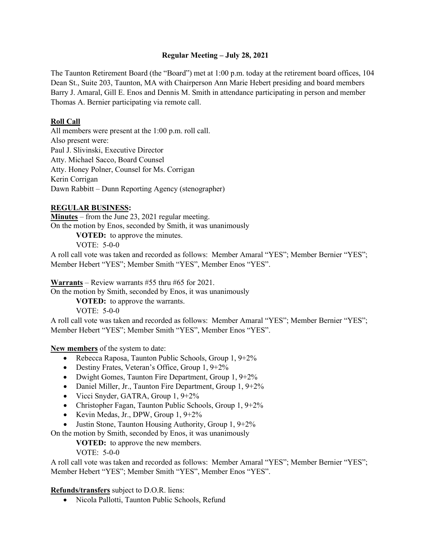### **Regular Meeting – July 28, 2021**

The Taunton Retirement Board (the "Board") met at 1:00 p.m. today at the retirement board offices, 104 Dean St., Suite 203, Taunton, MA with Chairperson Ann Marie Hebert presiding and board members Barry J. Amaral, Gill E. Enos and Dennis M. Smith in attendance participating in person and member Thomas A. Bernier participating via remote call.

## **Roll Call**

All members were present at the 1:00 p.m. roll call. Also present were: Paul J. Slivinski, Executive Director Atty. Michael Sacco, Board Counsel Atty. Honey Polner, Counsel for Ms. Corrigan Kerin Corrigan Dawn Rabbitt – Dunn Reporting Agency (stenographer)

# **REGULAR BUSINESS:**

**Minutes** – from the June 23, 2021 regular meeting. On the motion by Enos, seconded by Smith, it was unanimously

**VOTED:** to approve the minutes.

VOTE: 5-0-0

A roll call vote was taken and recorded as follows: Member Amaral "YES"; Member Bernier "YES"; Member Hebert "YES"; Member Smith "YES", Member Enos "YES".

**Warrants** – Review warrants #55 thru #65 for 2021.

On the motion by Smith, seconded by Enos, it was unanimously

**VOTED:** to approve the warrants.

VOTE: 5-0-0

A roll call vote was taken and recorded as follows: Member Amaral "YES"; Member Bernier "YES"; Member Hebert "YES"; Member Smith "YES", Member Enos "YES".

**New members** of the system to date:

- Rebecca Raposa, Taunton Public Schools, Group 1, 9+2%
- Destiny Frates, Veteran's Office, Group 1, 9+2%
- Dwight Gomes, Taunton Fire Department, Group 1, 9+2%
- Daniel Miller, Jr., Taunton Fire Department, Group 1, 9+2%
- Vicci Snyder, GATRA, Group 1, 9+2%
- Christopher Fagan, Taunton Public Schools, Group 1, 9+2%
- Kevin Medas, Jr., DPW, Group 1, 9+2%
- Justin Stone, Taunton Housing Authority, Group 1, 9+2%

On the motion by Smith, seconded by Enos, it was unanimously

**VOTED:** to approve the new members.

VOTE: 5-0-0

A roll call vote was taken and recorded as follows: Member Amaral "YES"; Member Bernier "YES"; Member Hebert "YES"; Member Smith "YES", Member Enos "YES".

**Refunds/transfers** subject to D.O.R. liens:

• Nicola Pallotti, Taunton Public Schools, Refund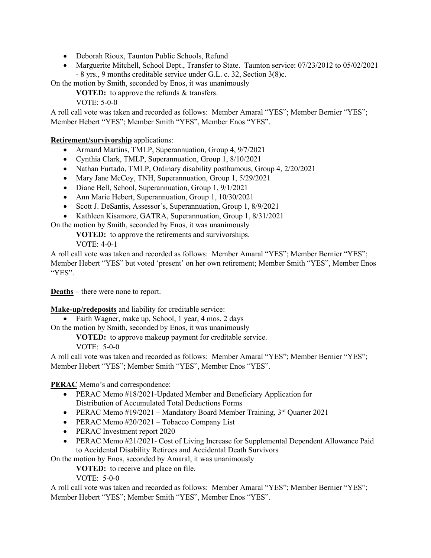- Deborah Rioux, Taunton Public Schools, Refund
- Marguerite Mitchell, School Dept., Transfer to State. Taunton service: 07/23/2012 to 05/02/2021 - 8 yrs., 9 months creditable service under G.L. c. 32, Section 3(8)c.

On the motion by Smith, seconded by Enos, it was unanimously

**VOTED:** to approve the refunds & transfers.

VOTE: 5-0-0

A roll call vote was taken and recorded as follows: Member Amaral "YES"; Member Bernier "YES"; Member Hebert "YES"; Member Smith "YES", Member Enos "YES".

**Retirement/survivorship** applications:

- Armand Martins, TMLP, Superannuation, Group 4, 9/7/2021
- Cynthia Clark, TMLP, Superannuation, Group 1, 8/10/2021
- Nathan Furtado, TMLP, Ordinary disability posthumous, Group 4, 2/20/2021
- Mary Jane McCoy, TNH, Superannuation, Group 1, 5/29/2021
- Diane Bell, School, Superannuation, Group 1, 9/1/2021
- Ann Marie Hebert, Superannuation, Group 1, 10/30/2021
- Scott J. DeSantis, Assessor's, Superannuation, Group 1, 8/9/2021
- Kathleen Kisamore, GATRA, Superannuation, Group 1, 8/31/2021

On the motion by Smith, seconded by Enos, it was unanimously

**VOTED:** to approve the retirements and survivorships.

VOTE: 4-0-1

A roll call vote was taken and recorded as follows: Member Amaral "YES"; Member Bernier "YES"; Member Hebert "YES" but voted 'present' on her own retirement; Member Smith "YES", Member Enos "YES".

**Deaths** – there were none to report.

**Make-up/redeposits** and liability for creditable service:

• Faith Wagner, make up, School, 1 year, 4 mos, 2 days

On the motion by Smith, seconded by Enos, it was unanimously

**VOTED:** to approve makeup payment for creditable service.

VOTE: 5-0-0

A roll call vote was taken and recorded as follows: Member Amaral "YES"; Member Bernier "YES"; Member Hebert "YES"; Member Smith "YES", Member Enos "YES".

**PERAC** Memo's and correspondence:

- PERAC Memo #18/2021-Updated Member and Beneficiary Application for Distribution of Accumulated Total Deductions Forms
- PERAC Memo #19/2021 Mandatory Board Member Training, 3rd Quarter 2021
- PERAC Memo #20/2021 Tobacco Company List
- PERAC Investment report 2020
- PERAC Memo #21/2021- Cost of Living Increase for Supplemental Dependent Allowance Paid to Accidental Disability Retirees and Accidental Death Survivors

On the motion by Enos, seconded by Amaral, it was unanimously

**VOTED:** to receive and place on file.

VOTE: 5-0-0

A roll call vote was taken and recorded as follows: Member Amaral "YES"; Member Bernier "YES"; Member Hebert "YES"; Member Smith "YES", Member Enos "YES".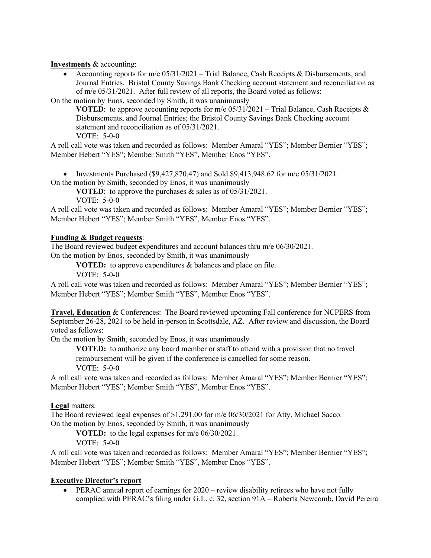**Investments** & accounting:

• Accounting reports for m/e  $05/31/2021$  – Trial Balance, Cash Receipts & Disbursements, and Journal Entries. Bristol County Savings Bank Checking account statement and reconciliation as of m/e 05/31/2021. After full review of all reports, the Board voted as follows:

On the motion by Enos, seconded by Smith, it was unanimously

**VOTED:** to approve accounting reports for m/e  $05/31/2021$  – Trial Balance, Cash Receipts & Disbursements, and Journal Entries; the Bristol County Savings Bank Checking account statement and reconciliation as of 05/31/2021.

VOTE: 5-0-0

A roll call vote was taken and recorded as follows: Member Amaral "YES"; Member Bernier "YES"; Member Hebert "YES"; Member Smith "YES", Member Enos "YES".

• Investments Purchased (\$9,427,870.47) and Sold \$9,413,948.62 for  $m/e$  05/31/2021.

On the motion by Smith, seconded by Enos, it was unanimously

**VOTED**: to approve the purchases & sales as of 05/31/2021.

VOTE: 5-0-0

A roll call vote was taken and recorded as follows: Member Amaral "YES"; Member Bernier "YES"; Member Hebert "YES"; Member Smith "YES", Member Enos "YES".

#### **Funding & Budget requests**:

The Board reviewed budget expenditures and account balances thru m/e 06/30/2021.

On the motion by Enos, seconded by Smith, it was unanimously

**VOTED:** to approve expenditures & balances and place on file.

VOTE: 5-0-0

A roll call vote was taken and recorded as follows: Member Amaral "YES"; Member Bernier "YES"; Member Hebert "YES"; Member Smith "YES", Member Enos "YES".

**Travel, Education** & Conferences: The Board reviewed upcoming Fall conference for NCPERS from September 26-28, 2021 to be held in-person in Scottsdale, AZ. After review and discussion, the Board voted as follows:

On the motion by Smith, seconded by Enos, it was unanimously

**VOTED:** to authorize any board member or staff to attend with a provision that no travel reimbursement will be given if the conference is cancelled for some reason. VOTE: 5-0-0

A roll call vote was taken and recorded as follows: Member Amaral "YES"; Member Bernier "YES"; Member Hebert "YES"; Member Smith "YES", Member Enos "YES".

## **Legal** matters:

The Board reviewed legal expenses of \$1,291.00 for m/e 06/30/2021 for Atty. Michael Sacco. On the motion by Enos, seconded by Smith, it was unanimously

**VOTED:** to the legal expenses for m/e 06/30/2021.

VOTE: 5-0-0

A roll call vote was taken and recorded as follows: Member Amaral "YES"; Member Bernier "YES"; Member Hebert "YES"; Member Smith "YES", Member Enos "YES".

### **Executive Director's report**

• PERAC annual report of earnings for 2020 – review disability retirees who have not fully complied with PERAC's filing under G.L. c. 32, section 91A – Roberta Newcomb, David Pereira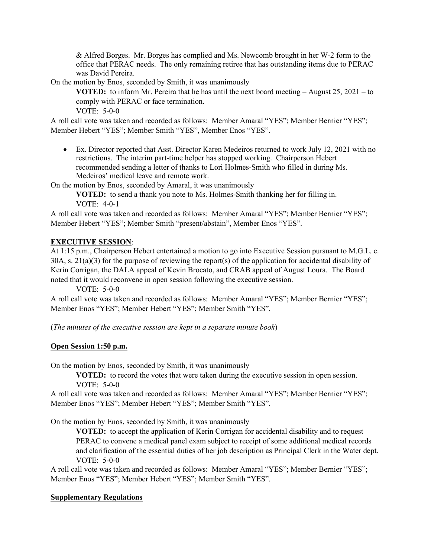& Alfred Borges. Mr. Borges has complied and Ms. Newcomb brought in her W-2 form to the office that PERAC needs. The only remaining retiree that has outstanding items due to PERAC was David Pereira.

On the motion by Enos, seconded by Smith, it was unanimously

**VOTED:** to inform Mr. Pereira that he has until the next board meeting – August 25, 2021 – to comply with PERAC or face termination.

VOTE: 5-0-0

A roll call vote was taken and recorded as follows: Member Amaral "YES"; Member Bernier "YES"; Member Hebert "YES"; Member Smith "YES", Member Enos "YES".

• Ex. Director reported that Asst. Director Karen Medeiros returned to work July 12, 2021 with no restrictions. The interim part-time helper has stopped working. Chairperson Hebert recommended sending a letter of thanks to Lori Holmes-Smith who filled in during Ms. Medeiros' medical leave and remote work.

On the motion by Enos, seconded by Amaral, it was unanimously

**VOTED:** to send a thank you note to Ms. Holmes-Smith thanking her for filling in. VOTE: 4-0-1

A roll call vote was taken and recorded as follows: Member Amaral "YES"; Member Bernier "YES"; Member Hebert "YES"; Member Smith "present/abstain", Member Enos "YES".

### **EXECUTIVE SESSION**:

At 1:15 p.m., Chairperson Hebert entertained a motion to go into Executive Session pursuant to M.G.L. c. 30A, s. 21(a)(3) for the purpose of reviewing the report(s) of the application for accidental disability of Kerin Corrigan, the DALA appeal of Kevin Brocato, and CRAB appeal of August Loura. The Board noted that it would reconvene in open session following the executive session.

VOTE: 5-0-0

A roll call vote was taken and recorded as follows: Member Amaral "YES"; Member Bernier "YES"; Member Enos "YES"; Member Hebert "YES"; Member Smith "YES".

(*The minutes of the executive session are kept in a separate minute book*)

### **Open Session 1:50 p.m.**

On the motion by Enos, seconded by Smith, it was unanimously

**VOTED:** to record the votes that were taken during the executive session in open session. VOTE: 5-0-0

A roll call vote was taken and recorded as follows: Member Amaral "YES"; Member Bernier "YES"; Member Enos "YES"; Member Hebert "YES"; Member Smith "YES".

On the motion by Enos, seconded by Smith, it was unanimously

**VOTED:** to accept the application of Kerin Corrigan for accidental disability and to request PERAC to convene a medical panel exam subject to receipt of some additional medical records and clarification of the essential duties of her job description as Principal Clerk in the Water dept. VOTE: 5-0-0

A roll call vote was taken and recorded as follows: Member Amaral "YES"; Member Bernier "YES"; Member Enos "YES"; Member Hebert "YES"; Member Smith "YES".

### **Supplementary Regulations**